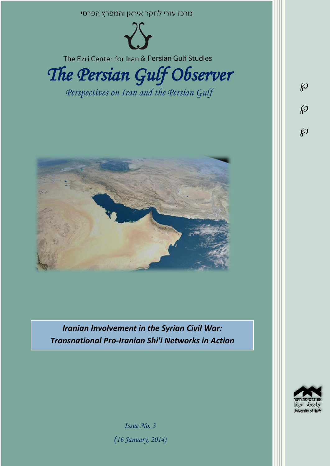



*Iranian Involvement in the Syrian Civil War: Transnational Pro-Iranian Shi'i Networks in Action*



 $\wp$ 

 $\wp$ 

 $\wp$ 

*Issue No. 3 )16 January, 2014)*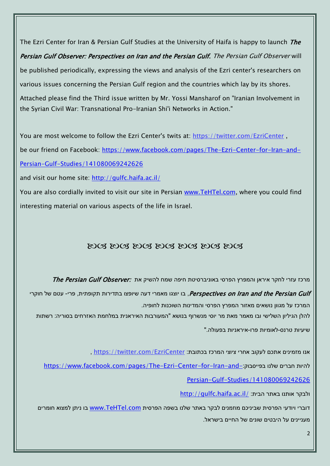The Ezri Center for Iran & Persian Gulf Studies at the University of Haifa is happy to launch *The* Persian Gulf Observer: Perspectives on Iran and the Persian Gulf. The Persian Gulf Observer will be published periodically, expressing the views and analysis of the Ezri center's researchers on various issues concerning the Persian Gulf region and the countries which lay by its shores. Attached please find the Third issue written by Mr. Yossi Mansharof on "Iranian Involvement in the Syrian Civil War: Transnational Pro-Iranian Shi'i Networks in Action."

You are most welcome to follow the Ezri Center's twits at: <https://twitter.com/EzriCenter>, be our friend on Facebook: [https://www.facebook.com/pages/The-Ezri-Center-for-Iran-and-](https://www.facebook.com/pages/The-Ezri-Center-for-Iran-and-Persian-Gulf-Studies/141080069242626)

[Persian-Gulf-Studies/141080069242626](https://www.facebook.com/pages/The-Ezri-Center-for-Iran-and-Persian-Gulf-Studies/141080069242626)

and visit our home site:<http://gulfc.haifa.ac.il/>

You are also cordially invited to visit our site in Persian [www.TeHTel.com,](http://www.tehtel.com/) where you could find interesting material on various aspects of the life in Israel.

## DOG DOG DOG DOG DOG DOG DOG

מרכז עזרי לחקר איראן והמפרץ הפרסי באוניברסיטת חיפה שמח להשיק את :The Persian Gulf Observer

Perspectives on Iran and the Persian Gulf, בו יוצגו מאמרי דעה שיופצו בתדירות תקופתית, פרי- עטם של חוקרי המרכז על מגוון נושאים מאזור המפרץ הפרסי והמדינות השוכנות לחופיה.

להלן הגיליון השלישי ובו מאמר מאת מר יוסי מנשרוף בנושא "המעורבות האיראנית במלחמת האזרחים בסוריה: רשתות

שיעיות טרנס-לאומיות פרו-איראניות בפעולה."

, אנו מזמינים אתכם לעקוב אחרי ציוצי המרכז בכתובת: https://twitter.com/EzriCenter.

[https://www.facebook.com/pages/The-Ezri-Center-for-Iran-and-](https://www.facebook.com/pages/The-Ezri-Center-for-Iran-and-Persian-Gulf-Studies/141080069242626):כהיות חברים שלנו בפייסבוק

[Persian-Gulf-Studies/141080069242626](https://www.facebook.com/pages/The-Ezri-Center-for-Iran-and-Persian-Gulf-Studies/141080069242626)

<http://gulfc.haifa.ac.il/> ולבקר אותנו באתר הבית

דוברי ויודעי הפרסית שביניכם מוזמנים לבקר באתר שלנו בשפה הפרסית [com.TeHTel.www](http://www.tehtel.com/) בו ניתן למצוא חומרים מעניינים על היבטים שונים של החיים בישראל.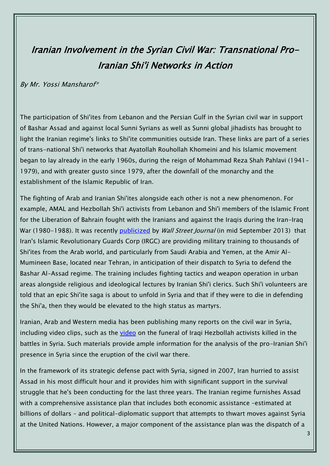## Iranian Involvement in the Syrian Civil War: Transnational Pro-Iranian Shi'i Networks in Action

## By Mr. Yossi Mansharof\*

The participation of Shi'ites from Lebanon and the Persian Gulf in the Syrian civil war in support of Bashar Assad and against local Sunni Syrians as well as Sunni global jihadists has brought to light the Iranian regime's links to Shi'ite communities outside Iran. These links are part of a series of trans-national Shi'i networks that Ayatollah Rouhollah Khomeini and his Islamic movement began to lay already in the early 1960s, during the reign of Mohammad Reza Shah Pahlavi (1941- 1979), and with greater gusto since 1979, after the downfall of the monarchy and the establishment of the Islamic Republic of Iran.

The fighting of Arab and Iranian Shi'ites alongside each other is not a new phenomenon. For example, AMAL and Hezbollah Shi'i activists from Lebanon and Shi'i members of the Islamic Front for the Liberation of Bahrain fought with the Iranians and against the Iraqis during the Iran-Iraq War (1980-1988). It was recently [publicized](http://online.wsj.com/news/articles/SB10001424127887323864604579067382861808984) by Wall Street Journal (in mid September 2013) that Iran's Islamic Revolutionary Guards Corp (IRGC) are providing military training to thousands of Shi'ites from the Arab world, and particularly from Saudi Arabia and Yemen, at the Amir Al-Mumineen Base, located near Tehran, in anticipation of their dispatch to Syria to defend the Bashar Al-Assad regime. The training includes fighting tactics and weapon operation in urban areas alongside religious and ideological lectures by Iranian Shi'i clerics. Such Shi'i volunteers are told that an epic Shi'ite saga is about to unfold in Syria and that if they were to die in defending the Shi'a, then they would be elevated to the high status as martyrs.

Iranian, Arab and Western media has been publishing many reports on the civil war in Syria, including video clips, such as the [video](http://www.youtube.com/watch?v=j74F4FxAhfI) on the funeral of Iraqi Hezbollah activists killed in the battles in Syria. Such materials provide ample information for the analysis of the pro-Iranian Shi'i presence in Syria since the eruption of the civil war there.

In the framework of its strategic defense pact with Syria, signed in 2007, Iran hurried to assist Assad in his most difficult hour and it provides him with significant support in the survival struggle that he's been conducting for the last three years. The Iranian regime furnishes Assad with a comprehensive assistance plan that includes both economic assistance –estimated at billions of dollars – and political-diplomatic support that attempts to thwart moves against Syria at the United Nations. However, a major component of the assistance plan was the dispatch of a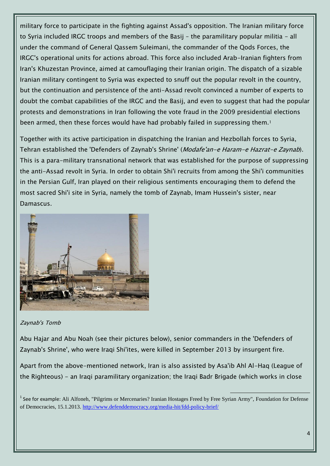military force to participate in the fighting against Assad's opposition. The Iranian military force to Syria included IRGC troops and members of the Basij – the paramilitary popular militia - all under the command of General Qassem Suleimani, the commander of the Qods Forces, the IRGC's operational units for actions abroad. This force also included Arab-Iranian fighters from Iran's Khuzestan Province, aimed at camouflaging their Iranian origin. The dispatch of a sizable Iranian military contingent to Syria was expected to snuff out the popular revolt in the country, but the continuation and persistence of the anti-Assad revolt convinced a number of experts to doubt the combat capabilities of the IRGC and the Basij, and even to suggest that had the popular protests and demonstrations in Iran following the vote fraud in the 2009 presidential elections been armed, then these forces would have had probably failed in suppressing them.<sup>1</sup>

Together with its active participation in dispatching the Iranian and Hezbollah forces to Syria, Tehran established the 'Defenders of Zaynab's Shrine' (Modafe'an-e Haram-e Hazrat-e Zaynab). This is a para-military transnational network that was established for the purpose of suppressing the anti-Assad revolt in Syria. In order to obtain Shi'i recruits from among the Shi'i communities in the Persian Gulf, Iran played on their religious sentiments encouraging them to defend the most sacred Shi'i site in Syria, namely the tomb of Zaynab, Imam Hussein's sister, near Damascus.



Zaynab's Tomb

Abu Hajar and Abu Noah (see their pictures below), senior commanders in the 'Defenders of Zaynab's Shrine', who were Iraqi Shi'ites, were killed in September 2013 by insurgent fire.

Apart from the above-mentioned network, Iran is also assisted by Asa'ib Ahl Al-Haq (League of the Righteous) - an Iraqi paramilitary organization; the Iraqi Badr Brigade (which works in close

<sup>1</sup> See for example: Ali Alfoneh, "Pilgrims or Mercenaries? Iranian Hostages Freed by Free Syrian Army", Foundation for Defense of Democracies, 15.1.2013.<http://www.defenddemocracy.org/media-hit/fdd-policy-brief/>

 $\overline{a}$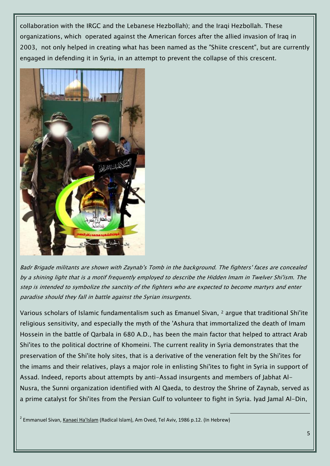collaboration with the IRGC and the Lebanese Hezbollah); and the Iraqi Hezbollah. These organizations, which operated against the American forces after the allied invasion of Iraq in 2003, not only helped in creating what has been named as the "Shiite crescent", but are currently engaged in defending it in Syria, in an attempt to prevent the collapse of this crescent.



Badr Brigade militants are shown with Zaynab's Tomb in the background. The fighters' faces are concealed by a shining light that is a motif frequently employed to describe the Hidden Imam in Twelver Shi'ism. The step is intended to symbolize the sanctity of the fighters who are expected to become martyrs and enter paradise should they fall in battle against the Syrian insurgents.

Various scholars of Islamic fundamentalism such as Emanuel Sivan, <sup>2</sup> argue that traditional Shi'ite religious sensitivity, and especially the myth of the 'Ashura that immortalized the death of Imam Hossein in the battle of Qarbala in 680 A.D., has been the main factor that helped to attract Arab Shi'ites to the political doctrine of Khomeini. The current reality in Syria demonstrates that the preservation of the Shi'ite holy sites, that is a derivative of the veneration felt by the Shi'ites for the imams and their relatives, plays a major role in enlisting Shi'ites to fight in Syria in support of Assad. Indeed, reports about attempts by anti-Assad insurgents and members of Jabhat Al-Nusra, the Sunni organization identified with Al Qaeda, to destroy the Shrine of Zaynab, served as a prime catalyst for Shi'ites from the Persian Gulf to volunteer to fight in Syria. Iyad Jamal Al-Din,

 $\overline{a}$ 

<sup>2</sup> Emmanuel Sivan, <u>Kanaei Ha'Islam</u> (Radical Islam), Am Oved, Tel Aviv, 1986 p.12. (In Hebrew)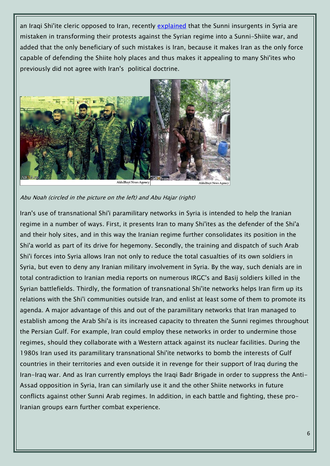an Iraqi Shi'ite cleric opposed to Iran, recently [explained](http://www.memritv.org/clip/en/3945.htm) that the Sunni insurgents in Syria are mistaken in transforming their protests against the Syrian regime into a Sunni-Shiite war, and added that the only beneficiary of such mistakes is Iran, because it makes Iran as the only force capable of defending the Shiite holy places and thus makes it appealing to many Shi'ites who previously did not agree with Iran's political doctrine.



Abu Noah (circled in the picture on the left) and Abu Hajar (right)

Iran's use of transnational Shi'i paramilitary networks in Syria is intended to help the Iranian regime in a number of ways. First, it presents Iran to many Shi'ites as the defender of the Shi'a and their holy sites, and in this way the Iranian regime further consolidates its position in the Shi'a world as part of its drive for hegemony. Secondly, the training and dispatch of such Arab Shi'i forces into Syria allows Iran not only to reduce the total casualties of its own soldiers in Syria, but even to deny any Iranian military involvement in Syria. By the way, such denials are in total contradiction to Iranian media reports on numerous IRGC's and Basij soldiers killed in the Syrian battlefields. Thirdly, the formation of transnational Shi'ite networks helps Iran firm up its relations with the Shi'i communities outside Iran, and enlist at least some of them to promote its agenda. A major advantage of this and out of the paramilitary networks that Iran managed to establish among the Arab Shi'a is its increased capacity to threaten the Sunni regimes throughout the Persian Gulf. For example, Iran could employ these networks in order to undermine those regimes, should they collaborate with a Western attack against its nuclear facilities. During the 1980s Iran used its paramilitary transnational Shi'ite networks to bomb the interests of Gulf countries in their territories and even outside it in revenge for their support of Iraq during the Iran-Iraq war. And as Iran currently employs the Iraqi Badr Brigade in order to suppress the Anti-Assad opposition in Syria, Iran can similarly use it and the other Shiite networks in future conflicts against other Sunni Arab regimes. In addition, in each battle and fighting, these pro-Iranian groups earn further combat experience.